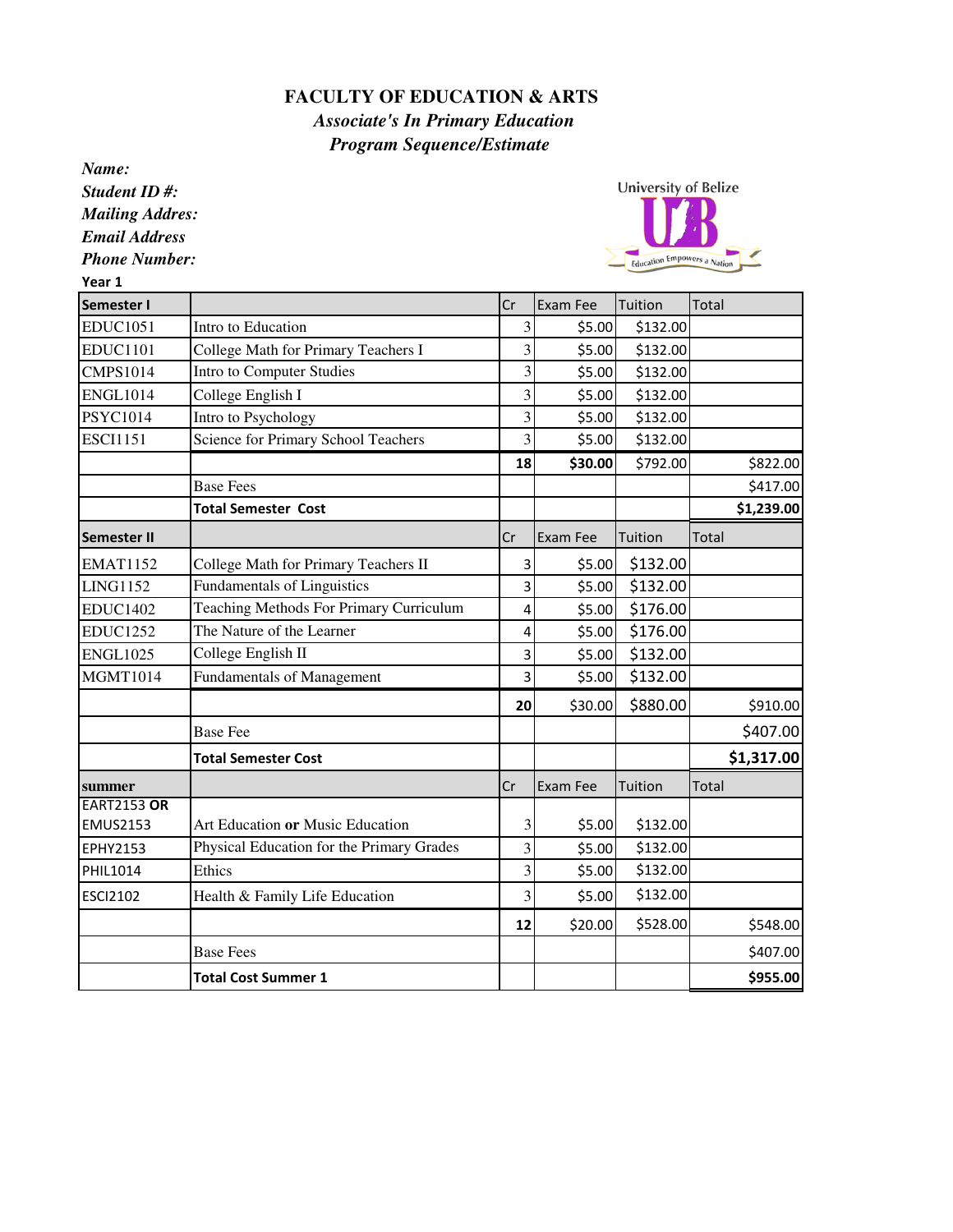## **FACULTY OF EDUCATION & ARTS**

 *Associate's In Primary Education Program Sequence/Estimate*

*Name: Student ID #: Mailing Addres:*

*Email Address*

*Phone Number:*

Year 1



| Semester I         |                                                | Cr                      | <b>Exam Fee</b> | Tuition  | Total      |
|--------------------|------------------------------------------------|-------------------------|-----------------|----------|------------|
| <b>EDUC1051</b>    | Intro to Education                             | 3                       | \$5.00          | \$132.00 |            |
| <b>EDUC1101</b>    | College Math for Primary Teachers I            | $\overline{\mathbf{3}}$ | \$5.00          | \$132.00 |            |
| <b>CMPS1014</b>    | <b>Intro to Computer Studies</b>               | 3                       | \$5.00          | \$132.00 |            |
| <b>ENGL1014</b>    | College English I                              | 3                       | \$5.00          | \$132.00 |            |
| PSYC1014           | Intro to Psychology                            | $\overline{\mathbf{3}}$ | \$5.00          | \$132.00 |            |
| <b>ESCI1151</b>    | Science for Primary School Teachers            | $\overline{\mathbf{3}}$ | \$5.00          | \$132.00 |            |
|                    |                                                | 18                      | \$30.00         | \$792.00 | \$822.00   |
|                    | <b>Base Fees</b>                               |                         |                 |          | \$417.00   |
|                    | <b>Total Semester Cost</b>                     |                         |                 |          | \$1,239.00 |
| <b>Semester II</b> |                                                | Cr                      | <b>Exam Fee</b> | Tuition  | Total      |
| <b>EMAT1152</b>    | College Math for Primary Teachers II           | 3                       | \$5.00          | \$132.00 |            |
| LING1152           | <b>Fundamentals of Linguistics</b>             | 3                       | \$5.00          | \$132.00 |            |
| <b>EDUC1402</b>    | <b>Teaching Methods For Primary Curriculum</b> | 4                       | \$5.00          | \$176.00 |            |
| <b>EDUC1252</b>    | The Nature of the Learner                      | 4                       | \$5.00          | \$176.00 |            |
| <b>ENGL1025</b>    | College English II                             | 3                       | \$5.00          | \$132.00 |            |
| <b>MGMT1014</b>    | <b>Fundamentals of Management</b>              | $\overline{3}$          | \$5.00          | \$132.00 |            |
|                    |                                                | 20                      | \$30.00         | \$880.00 | \$910.00   |
|                    | <b>Base Fee</b>                                |                         |                 |          | \$407.00   |
|                    | <b>Total Semester Cost</b>                     |                         |                 |          | \$1,317.00 |
| summer             |                                                | Cr                      | <b>Exam Fee</b> | Tuition  | Total      |
| <b>EART2153 OR</b> |                                                |                         |                 |          |            |
| <b>EMUS2153</b>    | Art Education or Music Education               | 3                       | \$5.00          | \$132.00 |            |
| <b>EPHY2153</b>    | Physical Education for the Primary Grades      | $\overline{3}$          | \$5.00          | \$132.00 |            |
| PHIL1014           | Ethics                                         | 3                       | \$5.00          | \$132.00 |            |
| <b>ESCI2102</b>    | Health & Family Life Education                 | 3                       | \$5.00          | \$132.00 |            |
|                    |                                                | 12                      | \$20.00         | \$528.00 | \$548.00   |
|                    | <b>Base Fees</b>                               |                         |                 |          | \$407.00   |
|                    | <b>Total Cost Summer 1</b>                     |                         |                 |          | \$955.00   |